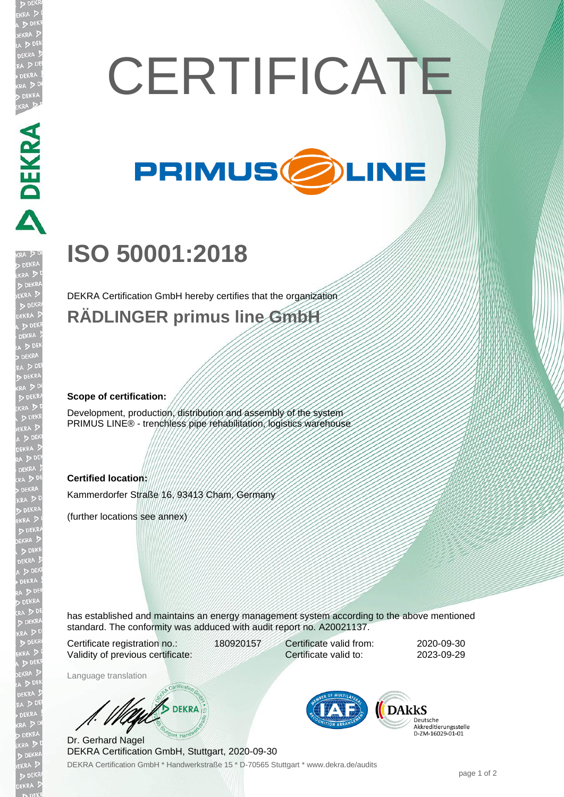# **CERTIFICATE**



## **ISO 50001:2018**

DEKRA Certification GmbH hereby certifies that the organization **RÄDLINGER primus line GmbH**

#### **Scope of certification:**

**DEKRA** 

Development, production, distribution and assembly of the system PRIMUS LINE® - trenchless pipe rehabilitation, logistics warehouse

#### **Certified location:**

Kammerdorfer Straße 16, 93413 Cham, Germany

(further locations see annex)

has established and maintains an energy management system according to the above mentioned standard. The conformity was adduced with audit report no. A20021137.

Certificate registration no.: 180920157 Validity of previous certificate:

Certificate valid from: 2020-09-30 Certificate valid to: 2023-09-29

Language translation

**DEKRA** 

DEKRA Certification GmbH \* Handwerkstraße 15 \* D-70565 Stuttgart \* www.dekra.de/audits Dr. Gerhard Nagel DEKRA Certification GmbH, Stuttgart, 2020-09-30



**DARKS** Deutsche Akkreditierungsstelle<br>D-ZM-16029-01-01